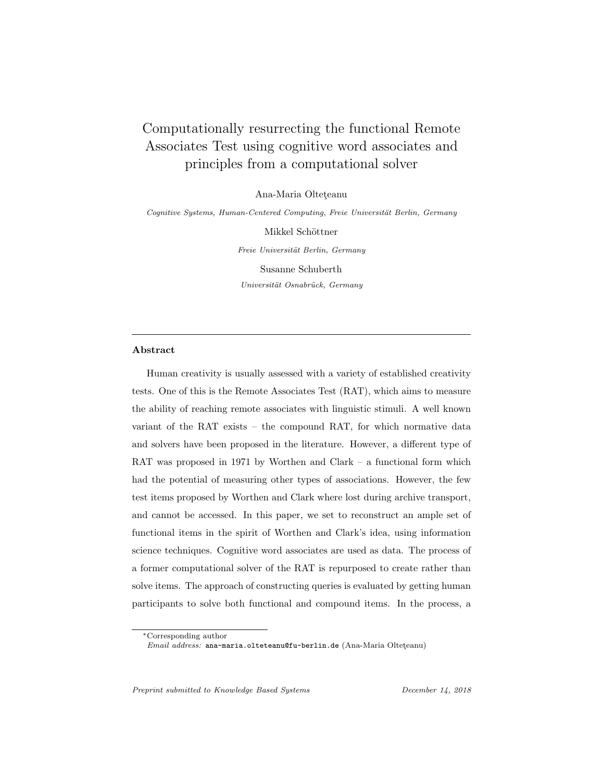# Computationally resurrecting the functional Remote Associates Test using cognitive word associates and principles from a computational solver

Ana-Maria Olteteanu

Cognitive Systems, Human-Centered Computing, Freie Universität Berlin, Germany

Mikkel Schöttner Freie Universität Berlin, Germany Susanne Schuberth Universität Osnabrück, Germany

#### Abstract

Human creativity is usually assessed with a variety of established creativity tests. One of this is the Remote Associates Test (RAT), which aims to measure the ability of reaching remote associates with linguistic stimuli. A well known variant of the RAT exists – the compound RAT, for which normative data and solvers have been proposed in the literature. However, a different type of RAT was proposed in 1971 by Worthen and Clark – a functional form which had the potential of measuring other types of associations. However, the few test items proposed by Worthen and Clark where lost during archive transport, and cannot be accessed. In this paper, we set to reconstruct an ample set of functional items in the spirit of Worthen and Clark's idea, using information science techniques. Cognitive word associates are used as data. The process of a former computational solver of the RAT is repurposed to create rather than solve items. The approach of constructing queries is evaluated by getting human participants to solve both functional and compound items. In the process, a

Preprint submitted to Knowledge Based Systems December 14, 2018

<sup>∗</sup>Corresponding author

Email address: ana-maria.olteteanu@fu-berlin.de (Ana-Maria Olteteanu)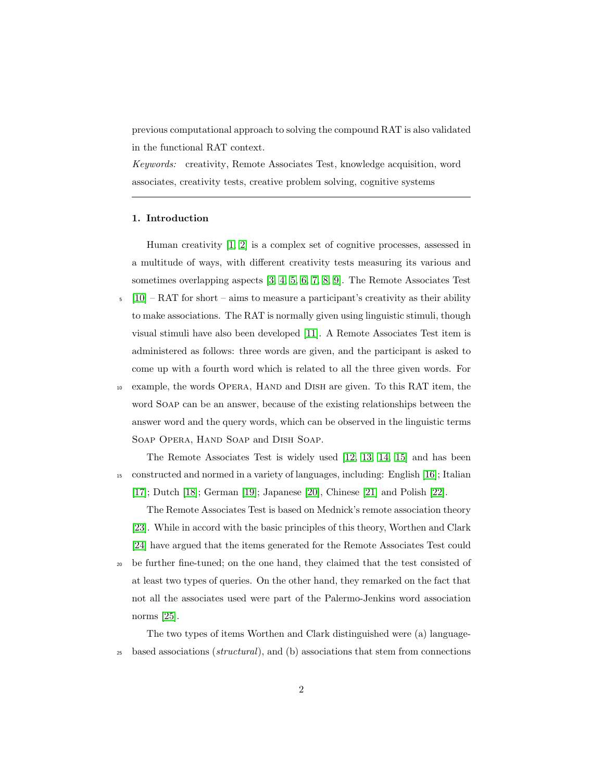previous computational approach to solving the compound RAT is also validated in the functional RAT context.

Keywords: creativity, Remote Associates Test, knowledge acquisition, word associates, creativity tests, creative problem solving, cognitive systems

#### 1. Introduction

Human creativity [\[1,](#page-21-0) [2\]](#page-21-1) is a complex set of cognitive processes, assessed in a multitude of ways, with different creativity tests measuring its various and sometimes overlapping aspects [\[3,](#page-21-2) [4,](#page-21-3) [5,](#page-22-0) [6,](#page-22-1) [7,](#page-22-2) [8,](#page-22-3) [9\]](#page-22-4). The Remote Associates Test

- $\lceil 10 \rceil$  RAT for short aims to measure a participant's creativity as their ability to make associations. The RAT is normally given using linguistic stimuli, though visual stimuli have also been developed [\[11\]](#page-22-6). A Remote Associates Test item is administered as follows: three words are given, and the participant is asked to come up with a fourth word which is related to all the three given words. For
- <sup>10</sup> example, the words Opera, Hand and Dish are given. To this RAT item, the word Soap can be an answer, because of the existing relationships between the answer word and the query words, which can be observed in the linguistic terms Soap Opera, Hand Soap and Dish Soap.

The Remote Associates Test is widely used [\[12,](#page-22-7) [13,](#page-22-8) [14,](#page-23-0) [15\]](#page-23-1) and has been <sup>15</sup> constructed and normed in a variety of languages, including: English [\[16\]](#page-23-2); Italian [\[17\]](#page-23-3); Dutch [\[18\]](#page-23-4); German [\[19\]](#page-23-5); Japanese [\[20\]](#page-23-6), Chinese [\[21\]](#page-23-7) and Polish [\[22\]](#page-24-0).

The Remote Associates Test is based on Mednick's remote association theory [\[23\]](#page-24-1). While in accord with the basic principles of this theory, Worthen and Clark [\[24\]](#page-24-2) have argued that the items generated for the Remote Associates Test could <sup>20</sup> be further fine-tuned; on the one hand, they claimed that the test consisted of at least two types of queries. On the other hand, they remarked on the fact that not all the associates used were part of the Palermo-Jenkins word association norms [\[25\]](#page-24-3).

The two types of items Worthen and Clark distinguished were (a) language-<sup>25</sup> based associations (structural), and (b) associations that stem from connections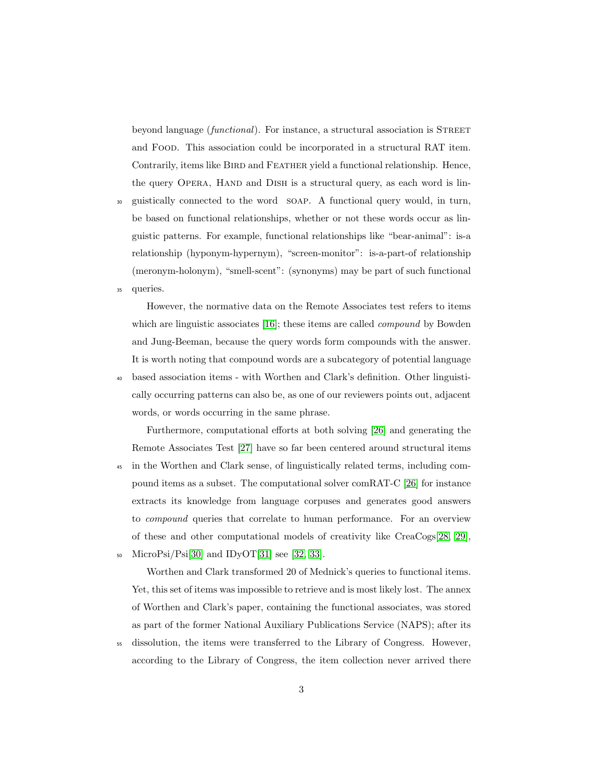beyond language (*functional*). For instance, a structural association is STREET and Food. This association could be incorporated in a structural RAT item. Contrarily, items like BIRD and FEATHER yield a functional relationship. Hence, the query OPERA, HAND and DISH is a structural query, as each word is lin-

<sup>30</sup> guistically connected to the word soap. A functional query would, in turn, be based on functional relationships, whether or not these words occur as linguistic patterns. For example, functional relationships like "bear-animal": is-a relationship (hyponym-hypernym), "screen-monitor": is-a-part-of relationship (meronym-holonym), "smell-scent": (synonyms) may be part of such functional <sup>35</sup> queries.

However, the normative data on the Remote Associates test refers to items which are linguistic associates [\[16\]](#page-23-2); these items are called *compound* by Bowden and Jung-Beeman, because the query words form compounds with the answer. It is worth noting that compound words are a subcategory of potential language <sup>40</sup> based association items - with Worthen and Clark's definition. Other linguistically occurring patterns can also be, as one of our reviewers points out, adjacent

words, or words occurring in the same phrase.

Furthermore, computational efforts at both solving [\[26\]](#page-24-4) and generating the Remote Associates Test [\[27\]](#page-24-5) have so far been centered around structural items <sup>45</sup> in the Worthen and Clark sense, of linguistically related terms, including compound items as a subset. The computational solver comRAT-C [\[26\]](#page-24-4) for instance extracts its knowledge from language corpuses and generates good answers to compound queries that correlate to human performance. For an overview of these and other computational models of creativity like CreaCogs[\[28,](#page-24-6) [29\]](#page-24-7), 50 MicroPsi/Psi[\[30\]](#page-25-0) and IDyOT[\[31\]](#page-25-1) see [\[32,](#page-25-2) [33\]](#page-25-3).

Worthen and Clark transformed 20 of Mednick's queries to functional items. Yet, this set of items was impossible to retrieve and is most likely lost. The annex of Worthen and Clark's paper, containing the functional associates, was stored as part of the former National Auxiliary Publications Service (NAPS); after its

<sup>55</sup> dissolution, the items were transferred to the Library of Congress. However, according to the Library of Congress, the item collection never arrived there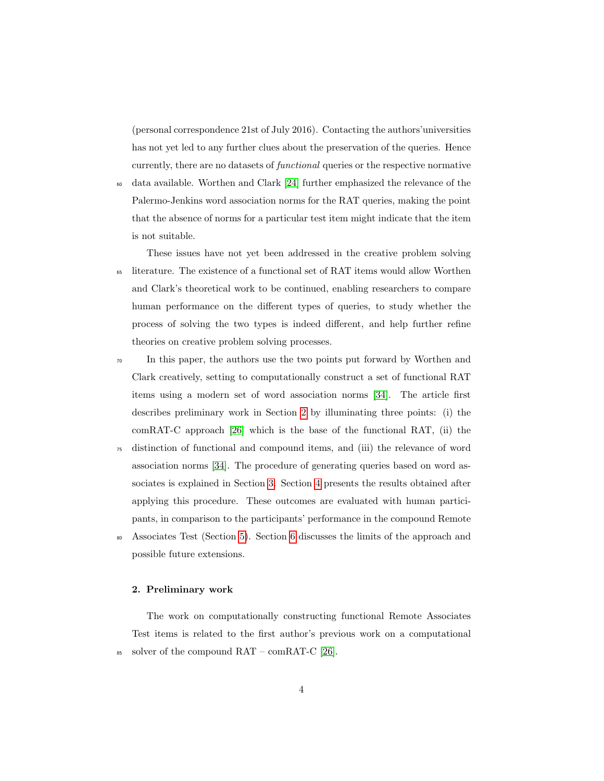(personal correspondence 21st of July 2016). Contacting the authors'universities has not yet led to any further clues about the preservation of the queries. Hence currently, there are no datasets of functional queries or the respective normative

<sup>60</sup> data available. Worthen and Clark [\[24\]](#page-24-2) further emphasized the relevance of the Palermo-Jenkins word association norms for the RAT queries, making the point that the absence of norms for a particular test item might indicate that the item is not suitable.

These issues have not yet been addressed in the creative problem solving <sup>65</sup> literature. The existence of a functional set of RAT items would allow Worthen and Clark's theoretical work to be continued, enabling researchers to compare human performance on the different types of queries, to study whether the process of solving the two types is indeed different, and help further refine theories on creative problem solving processes.

<sup>70</sup> In this paper, the authors use the two points put forward by Worthen and Clark creatively, setting to computationally construct a set of functional RAT items using a modern set of word association norms [\[34\]](#page-25-4). The article first describes preliminary work in Section [2](#page-3-0) by illuminating three points: (i) the comRAT-C approach [\[26\]](#page-24-4) which is the base of the functional RAT, (ii) the

- <sup>75</sup> distinction of functional and compound items, and (iii) the relevance of word association norms [\[34\]](#page-25-4). The procedure of generating queries based on word associates is explained in Section [3.](#page-6-0) Section [4](#page-8-0) presents the results obtained after applying this procedure. These outcomes are evaluated with human participants, in comparison to the participants' performance in the compound Remote
- <sup>80</sup> Associates Test (Section [5\)](#page-10-0). Section [6](#page-18-0) discusses the limits of the approach and possible future extensions.

#### <span id="page-3-0"></span>2. Preliminary work

The work on computationally constructing functional Remote Associates Test items is related to the first author's previous work on a computational 85 solver of the compound  $\text{RAT}-\text{comRAT-C}$  [\[26\]](#page-24-4).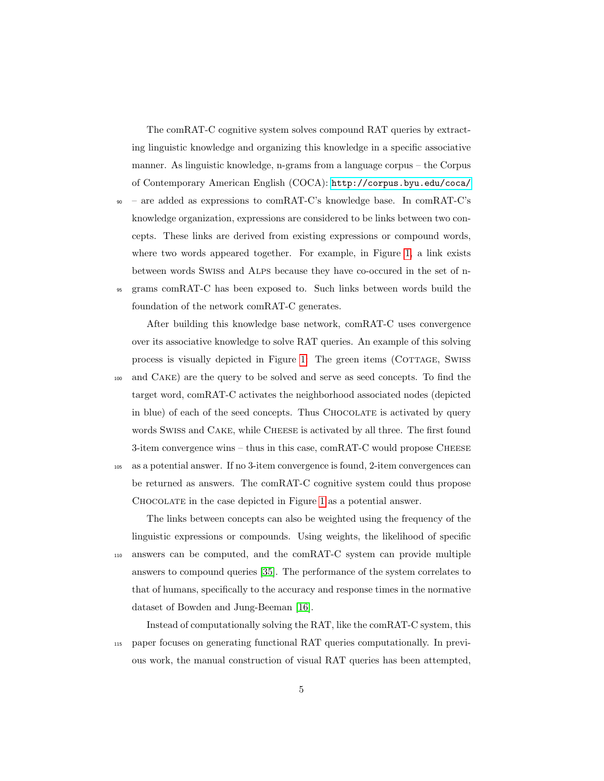The comRAT-C cognitive system solves compound RAT queries by extracting linguistic knowledge and organizing this knowledge in a specific associative manner. As linguistic knowledge, n-grams from a language corpus – the Corpus of Contemporary American English (COCA): <http://corpus.byu.edu/coca/>

<sup>90</sup> – are added as expressions to comRAT-C's knowledge base. In comRAT-C's knowledge organization, expressions are considered to be links between two concepts. These links are derived from existing expressions or compound words, where two words appeared together. For example, in Figure [1,](#page-5-0) a link exists between words Swiss and Alps because they have co-occured in the set of n-<sup>95</sup> grams comRAT-C has been exposed to. Such links between words build the

foundation of the network comRAT-C generates.

After building this knowledge base network, comRAT-C uses convergence over its associative knowledge to solve RAT queries. An example of this solving process is visually depicted in Figure [1:](#page-5-0) The green items (COTTAGE, SWISS) <sup>100</sup> and Cake) are the query to be solved and serve as seed concepts. To find the target word, comRAT-C activates the neighborhood associated nodes (depicted in blue) of each of the seed concepts. Thus CHOCOLATE is activated by query words SWISS and CAKE, while CHEESE is activated by all three. The first found 3-item convergence wins – thus in this case, comRAT-C would propose Cheese <sup>105</sup> as a potential answer. If no 3-item convergence is found, 2-item convergences can be returned as answers. The comRAT-C cognitive system could thus propose Chocolate in the case depicted in Figure [1](#page-5-0) as a potential answer.

The links between concepts can also be weighted using the frequency of the linguistic expressions or compounds. Using weights, the likelihood of specific <sup>110</sup> answers can be computed, and the comRAT-C system can provide multiple answers to compound queries [\[35\]](#page-25-5). The performance of the system correlates to that of humans, specifically to the accuracy and response times in the normative dataset of Bowden and Jung-Beeman [\[16\]](#page-23-2).

Instead of computationally solving the RAT, like the comRAT-C system, this <sup>115</sup> paper focuses on generating functional RAT queries computationally. In previous work, the manual construction of visual RAT queries has been attempted,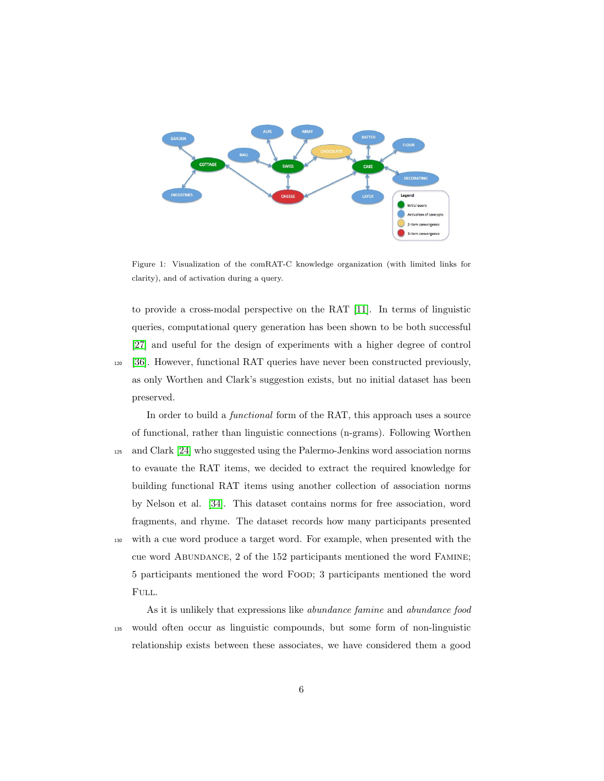

<span id="page-5-0"></span>Figure 1: Visualization of the comRAT-C knowledge organization (with limited links for clarity), and of activation during a query.

to provide a cross-modal perspective on the RAT [\[11\]](#page-22-6). In terms of linguistic queries, computational query generation has been shown to be both successful [\[27\]](#page-24-5) and useful for the design of experiments with a higher degree of control <sup>120</sup> [\[36\]](#page-25-6). However, functional RAT queries have never been constructed previously, as only Worthen and Clark's suggestion exists, but no initial dataset has been preserved.

In order to build a *functional* form of the RAT, this approach uses a source of functional, rather than linguistic connections (n-grams). Following Worthen <sup>125</sup> and Clark [\[24\]](#page-24-2) who suggested using the Palermo-Jenkins word association norms to evauate the RAT items, we decided to extract the required knowledge for building functional RAT items using another collection of association norms by Nelson et al. [\[34\]](#page-25-4). This dataset contains norms for free association, word fragments, and rhyme. The dataset records how many participants presented <sup>130</sup> with a cue word produce a target word. For example, when presented with the cue word Abundance, 2 of the 152 participants mentioned the word Famine; 5 participants mentioned the word Food; 3 participants mentioned the word FULL.

As it is unlikely that expressions like abundance famine and abundance food <sup>135</sup> would often occur as linguistic compounds, but some form of non-linguistic relationship exists between these associates, we have considered them a good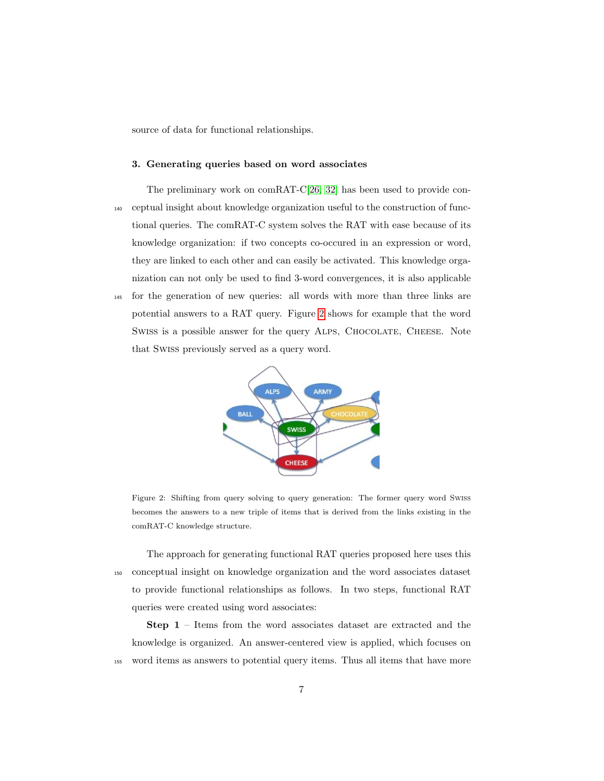source of data for functional relationships.

#### <span id="page-6-0"></span>3. Generating queries based on word associates

- The preliminary work on comRAT-C[\[26,](#page-24-4) [32\]](#page-25-2) has been used to provide con-<sup>140</sup> ceptual insight about knowledge organization useful to the construction of functional queries. The comRAT-C system solves the RAT with ease because of its knowledge organization: if two concepts co-occured in an expression or word, they are linked to each other and can easily be activated. This knowledge organization can not only be used to find 3-word convergences, it is also applicable
- <sup>145</sup> for the generation of new queries: all words with more than three links are potential answers to a RAT query. Figure [2](#page-6-1) shows for example that the word SWISS is a possible answer for the query ALPS, CHOCOLATE, CHEESE. Note that Swiss previously served as a query word.



<span id="page-6-1"></span>Figure 2: Shifting from query solving to query generation: The former query word Swiss becomes the answers to a new triple of items that is derived from the links existing in the comRAT-C knowledge structure.

The approach for generating functional RAT queries proposed here uses this <sup>150</sup> conceptual insight on knowledge organization and the word associates dataset to provide functional relationships as follows. In two steps, functional RAT queries were created using word associates:

Step 1 – Items from the word associates dataset are extracted and the knowledge is organized. An answer-centered view is applied, which focuses on <sup>155</sup> word items as answers to potential query items. Thus all items that have more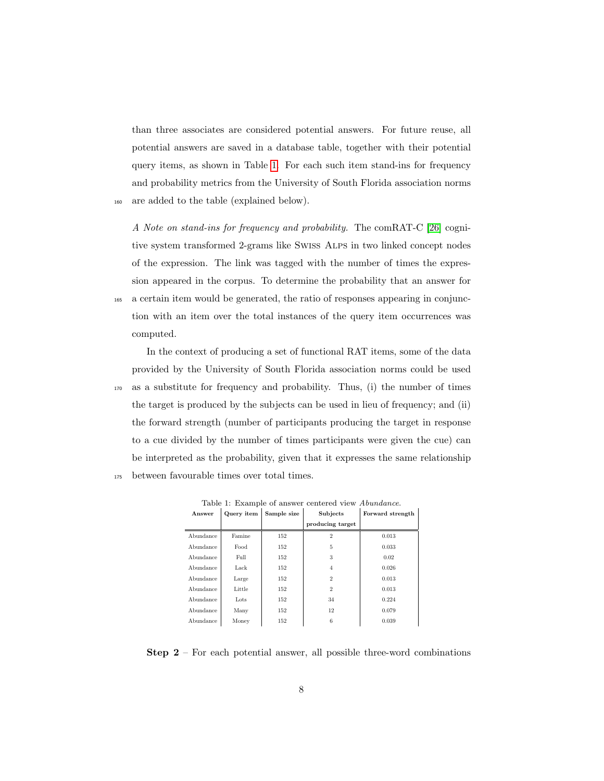than three associates are considered potential answers. For future reuse, all potential answers are saved in a database table, together with their potential query items, as shown in Table [1.](#page-7-0) For each such item stand-ins for frequency and probability metrics from the University of South Florida association norms <sup>160</sup> are added to the table (explained below).

A Note on stand-ins for frequency and probability. The comRAT-C [\[26\]](#page-24-4) cognitive system transformed 2-grams like Swiss Alps in two linked concept nodes of the expression. The link was tagged with the number of times the expression appeared in the corpus. To determine the probability that an answer for <sup>165</sup> a certain item would be generated, the ratio of responses appearing in conjunction with an item over the total instances of the query item occurrences was computed.

In the context of producing a set of functional RAT items, some of the data provided by the University of South Florida association norms could be used <sup>170</sup> as a substitute for frequency and probability. Thus, (i) the number of times the target is produced by the subjects can be used in lieu of frequency; and (ii) the forward strength (number of participants producing the target in response to a cue divided by the number of times participants were given the cue) can be interpreted as the probability, given that it expresses the same relationship <sup>175</sup> between favourable times over total times.

<span id="page-7-0"></span>

| Answer    | Query item | Sample size | Subjects         | Forward strength |
|-----------|------------|-------------|------------------|------------------|
|           |            |             | producing target |                  |
| Abundance | Famine     | 152         | $\overline{2}$   | 0.013            |
| Abundance | Food       | 152         | 5                | 0.033            |
| Abundance | Full       | 152         | 3                | 0.02             |
| Abundance | Lack       | 152         | 4                | 0.026            |
| Abundance | Large      | 152         | $\overline{2}$   | 0.013            |
| Abundance | Little     | 152         | $\overline{2}$   | 0.013            |
| Abundance | Lots       | 152         | 34               | 0.224            |
| Abundance | Many       | 152         | 12               | 0.079            |
| Abundance | Money      | 152         | 6                | 0.039            |

Table 1: Example of answer centered view Abundance.

**Step 2** – For each potential answer, all possible three-word combinations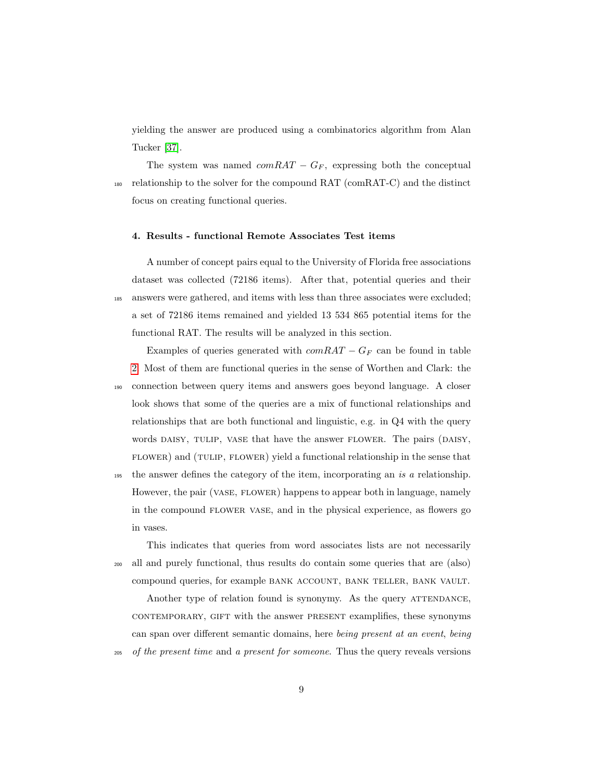yielding the answer are produced using a combinatorics algorithm from Alan Tucker [\[37\]](#page-26-0).

The system was named  $comRAT - G_F$ , expressing both the conceptual <sup>180</sup> relationship to the solver for the compound RAT (comRAT-C) and the distinct focus on creating functional queries.

#### <span id="page-8-0"></span>4. Results - functional Remote Associates Test items

A number of concept pairs equal to the University of Florida free associations dataset was collected (72186 items). After that, potential queries and their <sup>185</sup> answers were gathered, and items with less than three associates were excluded; a set of 72186 items remained and yielded 13 534 865 potential items for the functional RAT. The results will be analyzed in this section.

Examples of queries generated with  $comRAT - G_F$  can be found in table [2.](#page-9-0) Most of them are functional queries in the sense of Worthen and Clark: the <sup>190</sup> connection between query items and answers goes beyond language. A closer look shows that some of the queries are a mix of functional relationships and relationships that are both functional and linguistic, e.g. in Q4 with the query words DAISY, TULIP, VASE that have the answer FLOWER. The pairs (DAISY, flower) and (tulip, flower) yield a functional relationship in the sense that

<sup>195</sup> the answer defines the category of the item, incorporating an is a relationship. However, the pair (VASE, FLOWER) happens to appear both in language, namely in the compound flower vase, and in the physical experience, as flowers go in vases.

This indicates that queries from word associates lists are not necessarily <sup>200</sup> all and purely functional, thus results do contain some queries that are (also) compound queries, for example BANK ACCOUNT, BANK TELLER, BANK VAULT.

Another type of relation found is synonymy. As the query ATTENDANCE, contemporary, gift with the answer present examplifies, these synonyms can span over different semantic domains, here being present at an event, being <sup>205</sup> of the present time and a present for someone. Thus the query reveals versions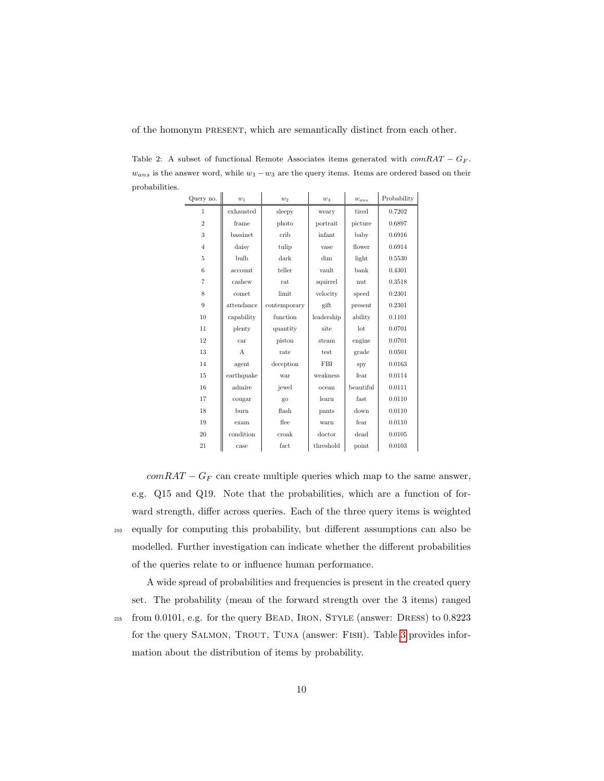of the homonym present, which are semantically distinct from each other.

<span id="page-9-0"></span>Table 2: A subset of functional Remote Associates items generated with  $comRAT - G_F$ .  $w_{ans}$  is the answer word, while  $w_1 - w_3$  are the query items. Items are ordered based on their probabilities.

 $\overline{a}$ 

| Query no.      | $w_1$        | $w_2$        | $w_3$      | $w_{ans}$ | Probability |
|----------------|--------------|--------------|------------|-----------|-------------|
| 1              | exhausted    | sleepy       | weary      | tired     | 0.7202      |
| $\overline{2}$ | frame        | photo        | portrait   | picture   | 0.6897      |
| 3              | bassinet     | crib         | infant     | baby      | 0.6916      |
| $\overline{4}$ | daisy        | tulip        | vase       | flower    | 0.6914      |
| 5              | bulb         | dark         | dim        | light     | 0.5530      |
| 6              | account      | teller       | vault      | bank      | 0.4301      |
| $\overline{7}$ | cashew       | rat          | squirrel   | nut       | 0.3518      |
| 8              | comet        | limit        | velocity   | speed     | 0.2301      |
| 9              | attendance   | contemporary | gift       | present   | 0.2301      |
| 10             | capability   | function     | leadership | ability   | 0.1101      |
| 11             | plenty       | quantity     | site       | lot       | 0.0701      |
| 12             | car          | piston       | steam      | engine    | 0.0701      |
| 13             | $\mathsf{A}$ | rate         | test       | grade     | 0.0501      |
| 14             | agent        | deception    | FBI        | spy       | 0.0163      |
| 15             | earthquake   | war          | weakness   | fear      | 0.0114      |
| 16             | admire       | jewel        | ocean      | beautiful | 0.0111      |
| 17             | cougar       | go           | learn      | fast      | 0.0110      |
| 18             | burn         | flash        | pants      | down      | 0.0110      |
| 19             | exam         | flee         | warn       | fear      | 0.0110      |
| 20             | condition    | croak        | doctor     | dead      | 0.0105      |
| 21             | case         | fact         | threshold  | point     | 0.0103      |

 $comRAT - G_F$  can create multiple queries which map to the same answer, e.g. Q15 and Q19. Note that the probabilities, which are a function of forward strength, differ across queries. Each of the three query items is weighted equally for computing this probability, but different assumptions can also be modelled. Further investigation can indicate whether the different probabilities of the queries relate to or influence human performance.

A wide spread of probabilities and frequencies is present in the created query set. The probability (mean of the forward strength over the 3 items) ranged from 0.0101, e.g. for the query Bead, Iron, Style (answer: Dress) to 0.8223 for the query SALMON, TROUT, TUNA (answer: FISH). Table [3](#page-10-1) provides information about the distribution of items by probability.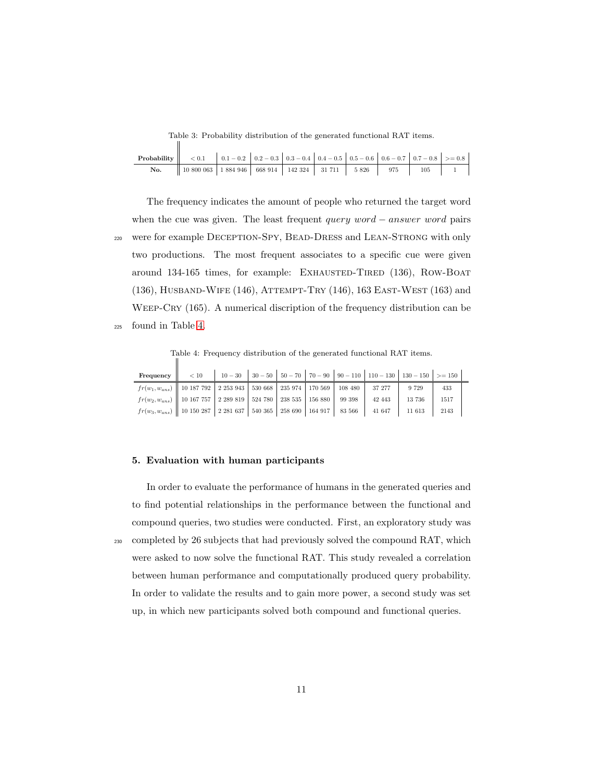Table 3: Probability distribution of the generated functional RAT items.

<span id="page-10-1"></span>

| <b>Probability</b> $\begin{vmatrix} 1 & 0.1 & 0.1 & 0.1 & 0.2 & 0.2 & -0.3 & 0.3 & -0.4 & 0.4 & -0.5 & 0.5 & -0.6 & 0.6 & -0.7 & 0.7 & -0.8 \end{vmatrix}$ > = 0.8 |                                                                         |  |  |  |                                          |
|--------------------------------------------------------------------------------------------------------------------------------------------------------------------|-------------------------------------------------------------------------|--|--|--|------------------------------------------|
| No.                                                                                                                                                                | 10 800 063   1 884 946   668 914   142 324   31 711   5 826   975   105 |  |  |  | $\begin{array}{cccc} \hline \end{array}$ |

The frequency indicates the amount of people who returned the target word when the cue was given. The least frequent *query word − answer word* pairs <sup>220</sup> were for example Deception-Spy, Bead-Dress and Lean-Strong with only two productions. The most frequent associates to a specific cue were given around 134-165 times, for example: EXHAUSTED-TIRED (136), ROW-BOAT (136), Husband-Wife (146), Attempt-Try (146), 163 East-West (163) and WEEP-CRY (165). A numerical discription of the frequency distribution can be <sup>225</sup> found in Table [4.](#page-10-2)

Table 4: Frequency distribution of the generated functional RAT items.

<span id="page-10-2"></span>

| <b>Frequency</b> $\begin{vmatrix} 1 & 0 & 10 \\ 0 & 10 & 30 \\ 0 & 0 & 30 & 50 \\ 0 & 0 & 0 & 70 \\ 0 & 0 & 0 & 70 \\ 0 & 0 & 0 & 0 & 10 \\ 0 & 0 & 0 & 0 & 10 \\ 0 & 0 & 0 & 0 & 0 & 10 \\ 0 & 0 & 0 & 0 & 0 & 0 \\ 0 & 0 & 0 & 0 & 0 & 0 & 0 \\ 0 & 0 & 0 & 0 & 0 & 0 & 0 \\ 0 & 0 & 0 & 0 & 0 & 0 & 0 & 0 \\ 0 & 0 &$ |  |  |  |        |         |      |  |
|--------------------------------------------------------------------------------------------------------------------------------------------------------------------------------------------------------------------------------------------------------------------------------------------------------------------------|--|--|--|--------|---------|------|--|
| $fr(w_1, w_{ans})$   10 187 792   2 253 943   530 668   235 974   170 569   108 480   37 277                                                                                                                                                                                                                             |  |  |  |        | 9 7 2 9 | 433  |  |
| $f(r(w_2, w_{ans})$    10 167 757   2 289 819   524 780   238 535   156 880   99 398                                                                                                                                                                                                                                     |  |  |  | 42 443 | 13 736  | 1517 |  |
| $f(r(w_3, w_{ans})$   10 150 287   2 281 637   540 365   258 690   164 917   83 566   41 647                                                                                                                                                                                                                             |  |  |  |        | 11 613  | 2143 |  |

#### <span id="page-10-0"></span>5. Evaluation with human participants

 $\parallel$ 

In order to evaluate the performance of humans in the generated queries and to find potential relationships in the performance between the functional and compound queries, two studies were conducted. First, an exploratory study was <sup>230</sup> completed by 26 subjects that had previously solved the compound RAT, which were asked to now solve the functional RAT. This study revealed a correlation between human performance and computationally produced query probability. In order to validate the results and to gain more power, a second study was set up, in which new participants solved both compound and functional queries.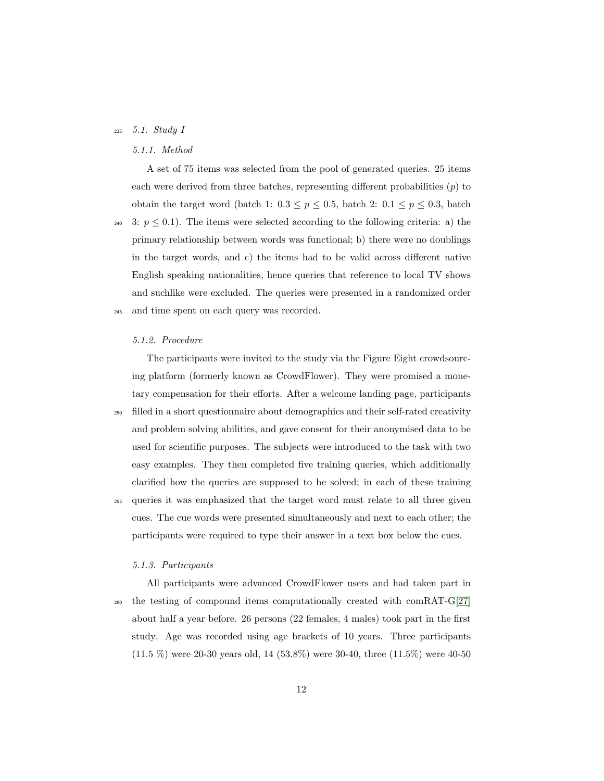## <sup>235</sup> 5.1. Study I

## 5.1.1. Method

A set of 75 items was selected from the pool of generated queries. 25 items each were derived from three batches, representing different probabilities  $(p)$  to obtain the target word (batch 1:  $0.3 \le p \le 0.5$ , batch 2:  $0.1 \le p \le 0.3$ , batch

240 3:  $p \leq 0.1$ ). The items were selected according to the following criteria: a) the primary relationship between words was functional; b) there were no doublings in the target words, and c) the items had to be valid across different native English speaking nationalities, hence queries that reference to local TV shows and suchlike were excluded. The queries were presented in a randomized order <sup>245</sup> and time spent on each query was recorded.

#### 5.1.2. Procedure

The participants were invited to the study via the Figure Eight crowdsourcing platform (formerly known as CrowdFlower). They were promised a monetary compensation for their efforts. After a welcome landing page, participants <sup>250</sup> filled in a short questionnaire about demographics and their self-rated creativity and problem solving abilities, and gave consent for their anonymised data to be used for scientific purposes. The subjects were introduced to the task with two easy examples. They then completed five training queries, which additionally clarified how the queries are supposed to be solved; in each of these training <sup>255</sup> queries it was emphasized that the target word must relate to all three given cues. The cue words were presented simultaneously and next to each other; the participants were required to type their answer in a text box below the cues.

#### 5.1.3. Participants

All participants were advanced CrowdFlower users and had taken part in <sup>260</sup> the testing of compound items computationally created with comRAT-G[\[27\]](#page-24-5) about half a year before. 26 persons (22 females, 4 males) took part in the first study. Age was recorded using age brackets of 10 years. Three participants (11.5 %) were 20-30 years old, 14 (53.8%) were 30-40, three (11.5%) were 40-50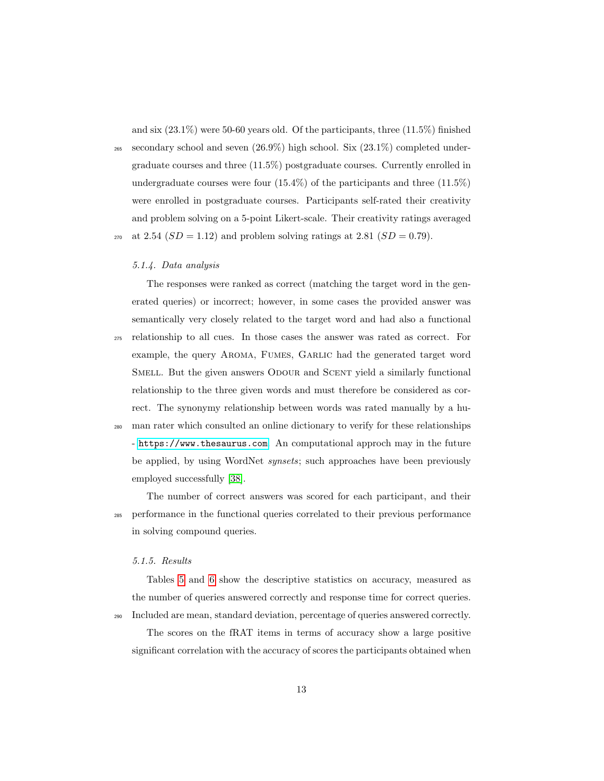and six (23.1%) were 50-60 years old. Of the participants, three (11.5%) finished

 $_{265}$  secondary school and seven  $(26.9\%)$  high school. Six  $(23.1\%)$  completed undergraduate courses and three (11.5%) postgraduate courses. Currently enrolled in undergraduate courses were four  $(15.4\%)$  of the participants and three  $(11.5\%)$ were enrolled in postgraduate courses. Participants self-rated their creativity and problem solving on a 5-point Likert-scale. Their creativity ratings averaged <sup>270</sup> at 2.54  $(SD = 1.12)$  and problem solving ratings at 2.81  $(SD = 0.79)$ .

#### 5.1.4. Data analysis

The responses were ranked as correct (matching the target word in the generated queries) or incorrect; however, in some cases the provided answer was semantically very closely related to the target word and had also a functional <sup>275</sup> relationship to all cues. In those cases the answer was rated as correct. For example, the query AROMA, FUMES, GARLIC had the generated target word SMELL. But the given answers ODOUR and SCENT yield a similarly functional relationship to the three given words and must therefore be considered as correct. The synonymy relationship between words was rated manually by a human rater which consulted an online dictionary to verify for these relationships - <https://www.thesaurus.com>. An computational approch may in the future be applied, by using WordNet *synsets*; such approaches have been previously

employed successfully [\[38\]](#page-26-1).

The number of correct answers was scored for each participant, and their <sup>285</sup> performance in the functional queries correlated to their previous performance in solving compound queries.

#### 5.1.5. Results

Tables [5](#page-13-0) and [6](#page-13-1) show the descriptive statistics on accuracy, measured as the number of queries answered correctly and response time for correct queries. <sup>290</sup> Included are mean, standard deviation, percentage of queries answered correctly.

The scores on the fRAT items in terms of accuracy show a large positive significant correlation with the accuracy of scores the participants obtained when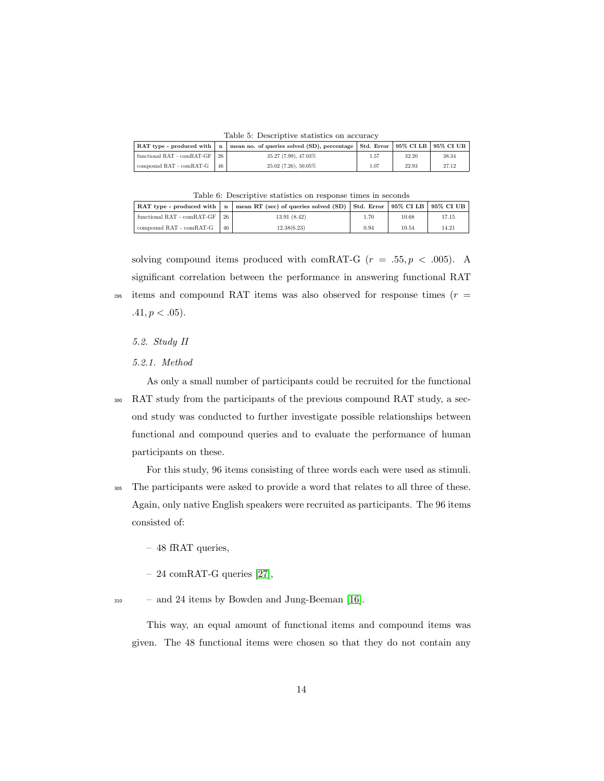Table 5: Descriptive statistics on accuracy

<span id="page-13-0"></span>

|                                   |    | RAT type - produced with $ n $ mean no. of queries solved (SD), percentage   Std. Error   95% CI LB   95% CI UB |      |       |       |
|-----------------------------------|----|-----------------------------------------------------------------------------------------------------------------|------|-------|-------|
| functional RAT - $comRAT-GF$   26 |    | 35.27 (7.99), 47.03%                                                                                            | 1.57 | 32.20 | 38.34 |
| compound RAT - comRAT-G           | 46 | $25.02(7.26), 50.05\%$                                                                                          | 1.07 | 22.93 | 27.12 |

| Table 6: Descriptive statistics on response times in seconds |  |  |  |
|--------------------------------------------------------------|--|--|--|
|                                                              |  |  |  |

<span id="page-13-1"></span>

| RAT type - produced with $\vert$ n |    | mean RT (sec) of queries solved (SD)   Std. Error   95% CI LB   95% CI UB |      |       |       |
|------------------------------------|----|---------------------------------------------------------------------------|------|-------|-------|
| functional RAT - comRAT-GF         | 26 | 13.91(8.42)                                                               | 1.70 | 10.68 | 17.15 |
| compound RAT - comRAT-G            | 46 | 12.38(6.23)                                                               | 0.94 | 10.54 | 14.21 |

solving compound items produced with comRAT-G  $(r = .55, p < .005)$ . A significant correlation between the performance in answering functional RAT <sup>295</sup> items and compound RAT items was also observed for response times ( $r =$  $.41, p < .05$ ).

5.2. Study II

#### 5.2.1. Method

As only a small number of participants could be recruited for the functional <sup>300</sup> RAT study from the participants of the previous compound RAT study, a second study was conducted to further investigate possible relationships between functional and compound queries and to evaluate the performance of human participants on these.

For this study, 96 items consisting of three words each were used as stimuli.

- <sup>305</sup> The participants were asked to provide a word that relates to all three of these. Again, only native English speakers were recruited as participants. The 96 items consisted of:
	- 48 fRAT queries,
	- 24 comRAT-G queries [\[27\]](#page-24-5),
- <sup>310</sup> and 24 items by Bowden and Jung-Beeman [\[16\]](#page-23-2).

This way, an equal amount of functional items and compound items was given. The 48 functional items were chosen so that they do not contain any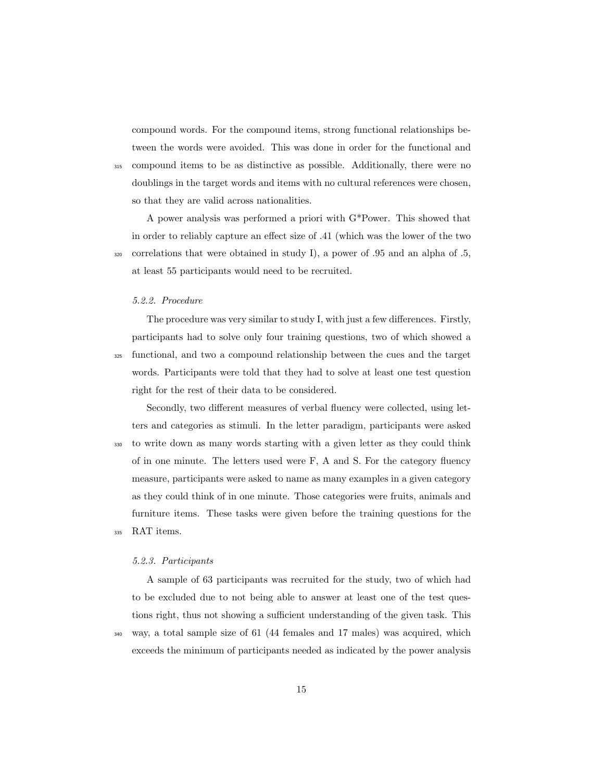compound words. For the compound items, strong functional relationships between the words were avoided. This was done in order for the functional and <sup>315</sup> compound items to be as distinctive as possible. Additionally, there were no doublings in the target words and items with no cultural references were chosen, so that they are valid across nationalities.

A power analysis was performed a priori with G\*Power. This showed that in order to reliably capture an effect size of .41 (which was the lower of the two  $320$  correlations that were obtained in study I), a power of .95 and an alpha of .5, at least 55 participants would need to be recruited.

## 5.2.2. Procedure

The procedure was very similar to study I, with just a few differences. Firstly, participants had to solve only four training questions, two of which showed a

<sup>325</sup> functional, and two a compound relationship between the cues and the target words. Participants were told that they had to solve at least one test question right for the rest of their data to be considered.

Secondly, two different measures of verbal fluency were collected, using letters and categories as stimuli. In the letter paradigm, participants were asked <sup>330</sup> to write down as many words starting with a given letter as they could think of in one minute. The letters used were F, A and S. For the category fluency measure, participants were asked to name as many examples in a given category as they could think of in one minute. Those categories were fruits, animals and furniture items. These tasks were given before the training questions for the <sup>335</sup> RAT items.

#### 5.2.3. Participants

A sample of 63 participants was recruited for the study, two of which had to be excluded due to not being able to answer at least one of the test questions right, thus not showing a sufficient understanding of the given task. This

<sup>340</sup> way, a total sample size of 61 (44 females and 17 males) was acquired, which

exceeds the minimum of participants needed as indicated by the power analysis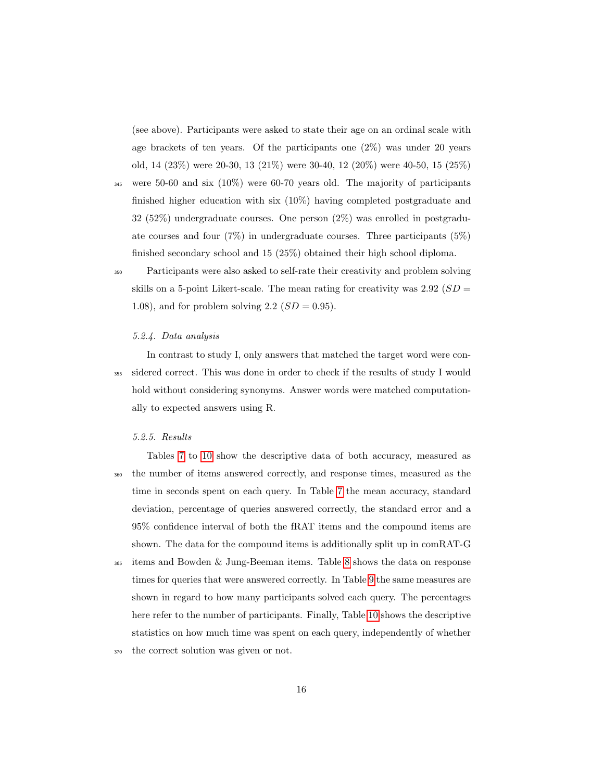(see above). Participants were asked to state their age on an ordinal scale with age brackets of ten years. Of the participants one  $(2\%)$  was under 20 years old, 14 (23%) were 20-30, 13 (21%) were 30-40, 12 (20%) were 40-50, 15 (25%)

<sup>345</sup> were 50-60 and six (10%) were 60-70 years old. The majority of participants finished higher education with six (10%) having completed postgraduate and 32 (52%) undergraduate courses. One person (2%) was enrolled in postgraduate courses and four  $(7\%)$  in undergraduate courses. Three participants  $(5\%)$ finished secondary school and 15 (25%) obtained their high school diploma.

<sup>350</sup> Participants were also asked to self-rate their creativity and problem solving skills on a 5-point Likert-scale. The mean rating for creativity was  $2.92$  ( $SD =$ 1.08), and for problem solving 2.2  $(SD = 0.95)$ .

### 5.2.4. Data analysis

In contrast to study I, only answers that matched the target word were con-<sup>355</sup> sidered correct. This was done in order to check if the results of study I would hold without considering synonyms. Answer words were matched computationally to expected answers using R.

#### 5.2.5. Results

Tables [7](#page-16-0) to [10](#page-16-1) show the descriptive data of both accuracy, measured as <sup>360</sup> the number of items answered correctly, and response times, measured as the time in seconds spent on each query. In Table [7](#page-16-0) the mean accuracy, standard deviation, percentage of queries answered correctly, the standard error and a 95% confidence interval of both the fRAT items and the compound items are shown. The data for the compound items is additionally split up in comRAT-G

<sup>365</sup> items and Bowden & Jung-Beeman items. Table [8](#page-16-2) shows the data on response times for queries that were answered correctly. In Table [9](#page-16-3) the same measures are shown in regard to how many participants solved each query. The percentages here refer to the number of participants. Finally, Table [10](#page-16-1) shows the descriptive statistics on how much time was spent on each query, independently of whether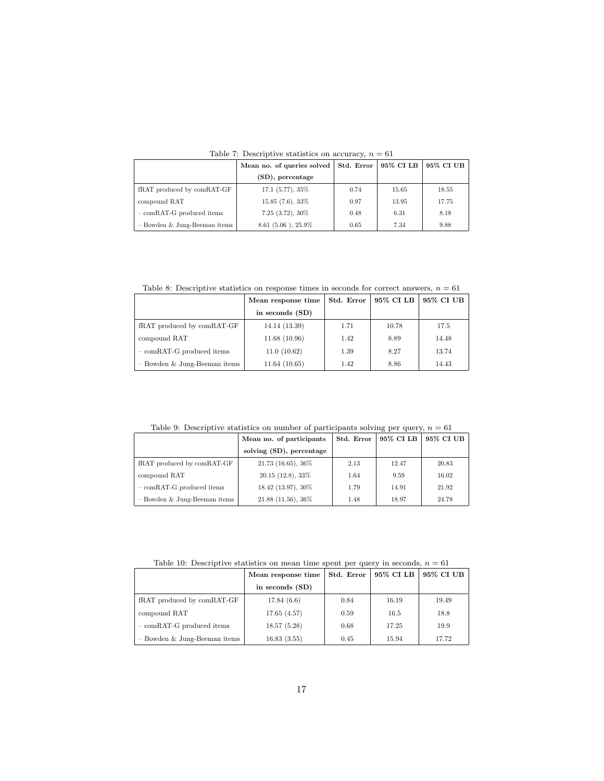<span id="page-16-0"></span>

|                                | Mean no. of queries solved | Std. Error | 95% CI LB | 95% CI UB |
|--------------------------------|----------------------------|------------|-----------|-----------|
|                                | (SD), percentage           |            |           |           |
| fRAT produced by comRAT-GF     | $17.1(5.77), 35\%$         | 0.74       | 15.65     | 18.55     |
| compound RAT                   | $15.85(7.6), 33\%$         | 0.97       | 13.95     | 17.75     |
| $-$ comRAT-G produced items    | $7.25(3.72), 30\%$         | 0.48       | 6.31      | 8.18      |
| $-$ Bowden & Jung-Beeman items | $8.61$ (5.06), $25.9\%$    | 0.65       | 7.34      | 9.88      |

Table 7: Descriptive statistics on accuracy,  $n = 61$ 

<span id="page-16-2"></span>Table 8: Descriptive statistics on response times in seconds for correct answers,  $n = 61$ 

|                                | Mean response time | Std. Error | 95% CI LB | 95% CI UB |
|--------------------------------|--------------------|------------|-----------|-----------|
|                                | in seconds (SD)    |            |           |           |
| fRAT produced by comRAT-GF     | 14.14 (13.39)      | 1.71       | 10.78     | 17.5      |
| compound RAT                   | 11.68(10.96)       | 1.42       | 8.89      | 14.48     |
| $-$ comRAT-G produced items    | 11.0(10.62)        | 1.39       | 8.27      | 13.74     |
| $-$ Bowden & Jung-Beeman items | 11.64(10.65)       | 1.42       | 8.86      | 14.43     |

<span id="page-16-3"></span>Table 9: Descriptive statistics on number of participants solving per query,  $n = 61$ 

|                                | Mean no. of participants | Std. Error | 95% CI LB | 95% CI UB |
|--------------------------------|--------------------------|------------|-----------|-----------|
|                                | solving (SD), percentage |            |           |           |
| fRAT produced by comRAT-GF     | $21.73$ (16.65), $36\%$  | 2.13       | 12.47     | 20.83     |
| compound RAT                   | $20.15$ (12.8), 33\%     | 1.64       | 9.59      | 16.02     |
| $-$ comRAT-G produced items    | 18.42 (13.97), 30%       | 1.79       | 14.91     | 21.92     |
| $-$ Bowden & Jung-Beeman items | $21.88$ (11.56), $36\%$  | 1.48       | 18.97     | 24.78     |

Table 10: Descriptive statistics on mean time spent per query in seconds,  $n=61\,$ 

<span id="page-16-1"></span>

|                                | Mean response time | Std. Error | 95% CI LB | 95% CI UB |
|--------------------------------|--------------------|------------|-----------|-----------|
|                                | in seconds (SD)    |            |           |           |
| fRAT produced by comRAT-GF     | 17.84(6.6)         | 0.84       | 16.19     | 19.49     |
| compound RAT                   | 17.65(4.57)        | 0.59       | 16.5      | 18.8      |
| $-$ comRAT-G produced items    | 18.57(5.28)        | 0.68       | 17.25     | 19.9      |
| $-$ Bowden & Jung-Beeman items | 16.83(3.55)        | 0.45       | 15.94     | 17.72     |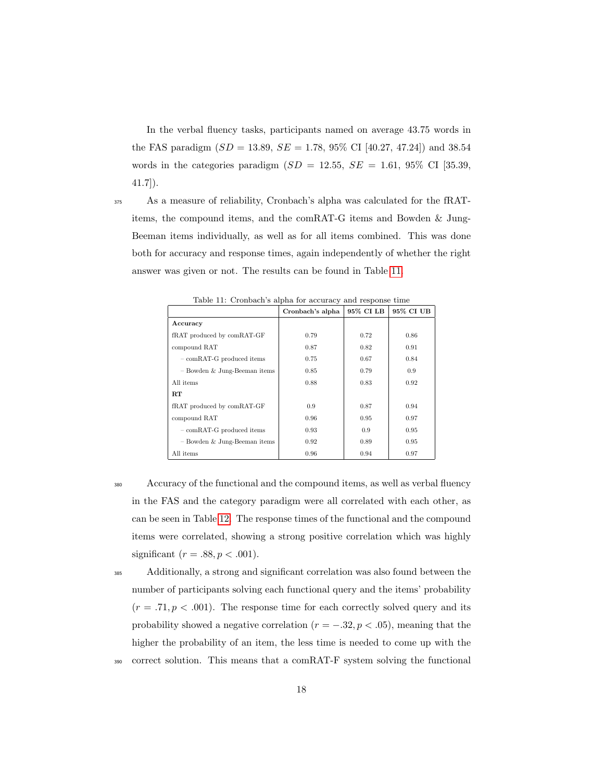In the verbal fluency tasks, participants named on average 43.75 words in the FAS paradigm  $(SD = 13.89, SE = 1.78, 95\% \text{ CI}$  [40.27, 47.24]) and 38.54 words in the categories paradigm  $(SD = 12.55, SE = 1.61, 95\% \text{ CI } [35.39,$ 41.7]).

<sup>375</sup> As a measure of reliability, Cronbach's alpha was calculated for the fRATitems, the compound items, and the comRAT-G items and Bowden & Jung-Beeman items individually, as well as for all items combined. This was done both for accuracy and response times, again independently of whether the right answer was given or not. The results can be found in Table [11.](#page-17-0)

<span id="page-17-0"></span>

|                                | 95% CI LB<br>Cronbach's alpha |      |               |  |  |  |
|--------------------------------|-------------------------------|------|---------------|--|--|--|
| Accuracy                       |                               |      |               |  |  |  |
| fRAT produced by comRAT-GF     | 0.79                          | 0.72 | 0.86          |  |  |  |
| compound RAT                   | 0.87                          | 0.82 | 0.91          |  |  |  |
| $-$ comRAT-G produced items    | 0.75                          | 0.67 | 0.84          |  |  |  |
| $-$ Bowden & Jung-Beeman items | 0.85                          | 0.79 | $0.9^{\circ}$ |  |  |  |
| All items                      | 0.88                          | 0.83 | 0.92          |  |  |  |
| $_{\rm RT}$                    |                               |      |               |  |  |  |
| fRAT produced by comRAT-GF     | 0.9                           | 0.87 | 0.94          |  |  |  |
| compound RAT                   | 0.96                          | 0.95 | 0.97          |  |  |  |
| $-$ comRAT-G produced items    | 0.93                          | 0.9  | 0.95          |  |  |  |
| $-$ Bowden & Jung-Beeman items | 0.92                          | 0.89 | 0.95          |  |  |  |
| All items                      | 0.96                          | 0.94 | 0.97          |  |  |  |

 $T<sub>1</sub>$  11:  $C<sub>2</sub>$  and  $C<sub>3</sub>$  alpha for accuracy and response time

<sup>380</sup> Accuracy of the functional and the compound items, as well as verbal fluency in the FAS and the category paradigm were all correlated with each other, as can be seen in Table [12.](#page-18-1) The response times of the functional and the compound items were correlated, showing a strong positive correlation which was highly significant ( $r = .88, p < .001$ ).

<sup>385</sup> Additionally, a strong and significant correlation was also found between the number of participants solving each functional query and the items' probability  $(r = .71, p < .001)$ . The response time for each correctly solved query and its probability showed a negative correlation ( $r = -.32, p < .05$ ), meaning that the higher the probability of an item, the less time is needed to come up with the <sup>390</sup> correct solution. This means that a comRAT-F system solving the functional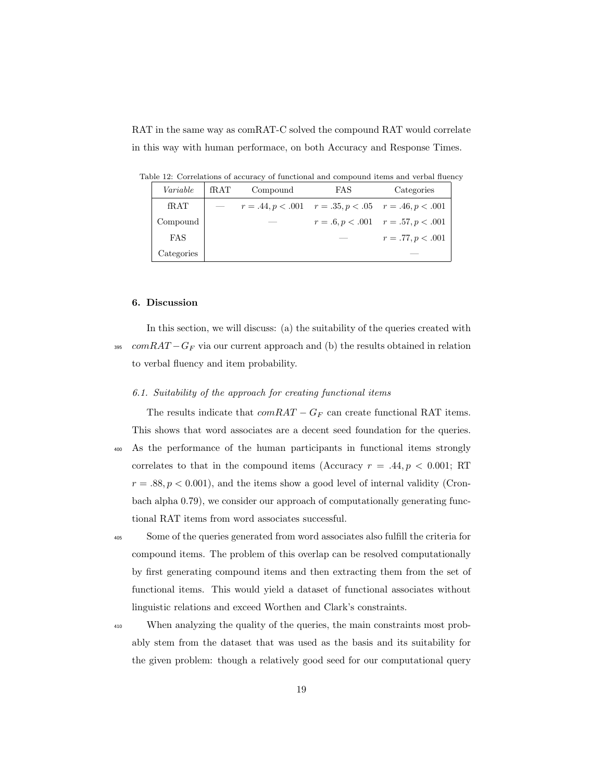RAT in the same way as comRAT-C solved the compound RAT would correlate in this way with human performace, on both Accuracy and Response Times.

<span id="page-18-1"></span>Table 12: Correlations of accuracy of functional and compound items and verbal fluency

| Variable   | fRAT | Compound | FAS. | Categories                                                 |  |
|------------|------|----------|------|------------------------------------------------------------|--|
| fRAT       |      |          |      | $r = .44, p < .001$ $r = .35, p < .05$ $r = .46, p < .001$ |  |
| Compound   |      |          |      | $r = .6, p < .001$ $r = .57, p < .001$                     |  |
| FAS        |      |          |      | $r = .77, p < .001$                                        |  |
| Categories |      |          |      |                                                            |  |

## <span id="page-18-0"></span>6. Discussion

In this section, we will discuss: (a) the suitability of the queries created with  $395$  comRAT –  $G_F$  via our current approach and (b) the results obtained in relation to verbal fluency and item probability.

## 6.1. Suitability of the approach for creating functional items

The results indicate that  $comRAT - G_F$  can create functional RAT items. This shows that word associates are a decent seed foundation for the queries. <sup>400</sup> As the performance of the human participants in functional items strongly correlates to that in the compound items (Accuracy  $r = .44, p < 0.001$ ; RT  $r = .88, p < 0.001$ , and the items show a good level of internal validity (Cronbach alpha 0.79), we consider our approach of computationally generating functional RAT items from word associates successful.

<sup>405</sup> Some of the queries generated from word associates also fulfill the criteria for compound items. The problem of this overlap can be resolved computationally by first generating compound items and then extracting them from the set of functional items. This would yield a dataset of functional associates without linguistic relations and exceed Worthen and Clark's constraints.

<sup>410</sup> When analyzing the quality of the queries, the main constraints most probably stem from the dataset that was used as the basis and its suitability for the given problem: though a relatively good seed for our computational query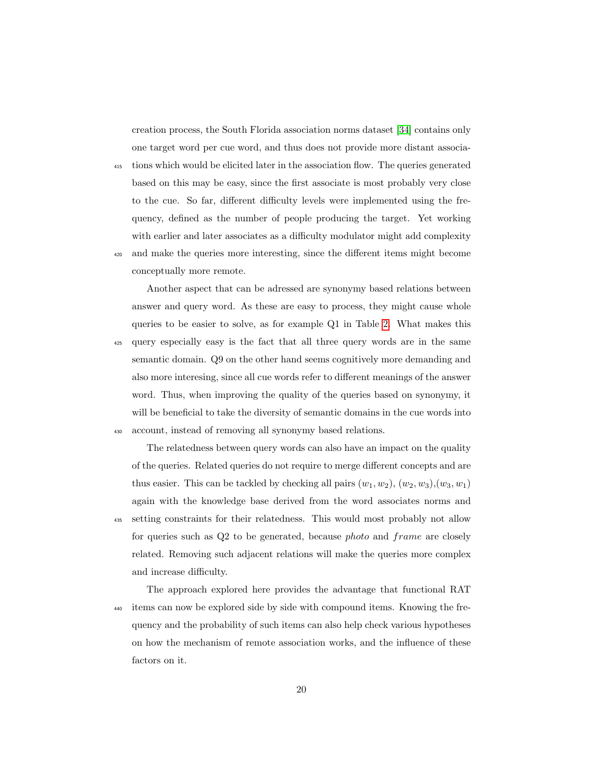creation process, the South Florida association norms dataset [\[34\]](#page-25-4) contains only one target word per cue word, and thus does not provide more distant associa-

<sup>415</sup> tions which would be elicited later in the association flow. The queries generated based on this may be easy, since the first associate is most probably very close to the cue. So far, different difficulty levels were implemented using the frequency, defined as the number of people producing the target. Yet working with earlier and later associates as a difficulty modulator might add complexity

<sup>420</sup> and make the queries more interesting, since the different items might become conceptually more remote.

Another aspect that can be adressed are synonymy based relations between answer and query word. As these are easy to process, they might cause whole queries to be easier to solve, as for example Q1 in Table [2.](#page-9-0) What makes this <sup>425</sup> query especially easy is the fact that all three query words are in the same semantic domain. Q9 on the other hand seems cognitively more demanding and also more interesing, since all cue words refer to different meanings of the answer word. Thus, when improving the quality of the queries based on synonymy, it will be beneficial to take the diversity of semantic domains in the cue words into <sup>430</sup> account, instead of removing all synonymy based relations.

The relatedness between query words can also have an impact on the quality of the queries. Related queries do not require to merge different concepts and are thus easier. This can be tackled by checking all pairs  $(w_1, w_2), (w_2, w_3), (w_3, w_1)$ again with the knowledge base derived from the word associates norms and <sup>435</sup> setting constraints for their relatedness. This would most probably not allow for queries such as Q2 to be generated, because photo and frame are closely related. Removing such adjacent relations will make the queries more complex and increase difficulty.

The approach explored here provides the advantage that functional RAT <sup>440</sup> items can now be explored side by side with compound items. Knowing the frequency and the probability of such items can also help check various hypotheses on how the mechanism of remote association works, and the influence of these factors on it.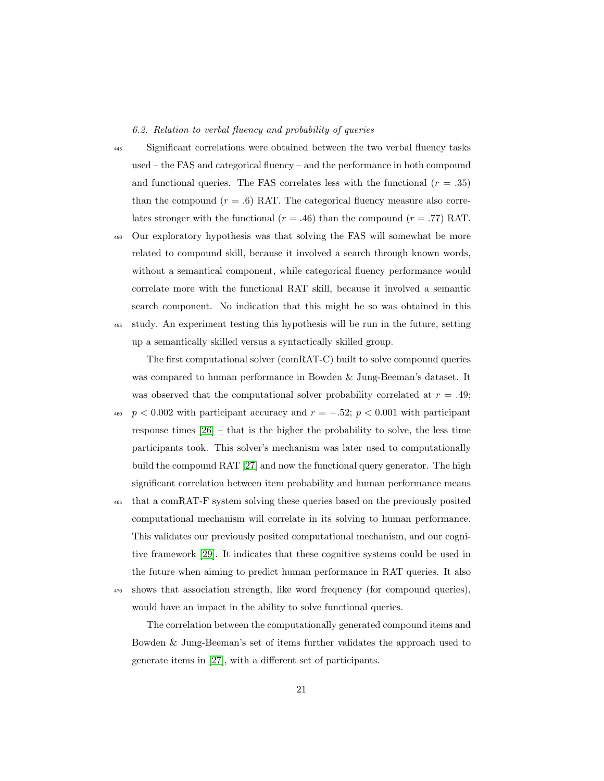6.2. Relation to verbal fluency and probability of queries

- <sup>445</sup> Significant correlations were obtained between the two verbal fluency tasks used – the FAS and categorical fluency – and the performance in both compound and functional queries. The FAS correlates less with the functional  $(r=.35)$ than the compound  $(r = .6)$  RAT. The categorical fluency measure also correlates stronger with the functional ( $r = .46$ ) than the compound ( $r = .77$ ) RAT.
- <sup>450</sup> Our exploratory hypothesis was that solving the FAS will somewhat be more related to compound skill, because it involved a search through known words, without a semantical component, while categorical fluency performance would correlate more with the functional RAT skill, because it involved a semantic search component. No indication that this might be so was obtained in this <sup>455</sup> study. An experiment testing this hypothesis will be run in the future, setting up a semantically skilled versus a syntactically skilled group.

The first computational solver (comRAT-C) built to solve compound queries was compared to human performance in Bowden & Jung-Beeman's dataset. It was observed that the computational solver probability correlated at  $r = .49$ ;

 $p < 0.002$  with participant accuracy and  $r = -.52; \, p < 0.001$  with participant response times [\[26\]](#page-24-4) – that is the higher the probability to solve, the less time participants took. This solver's mechanism was later used to computationally build the compound RAT [\[27\]](#page-24-5) and now the functional query generator. The high significant correlation between item probability and human performance means

<sup>465</sup> that a comRAT-F system solving these queries based on the previously posited computational mechanism will correlate in its solving to human performance. This validates our previously posited computational mechanism, and our cognitive framework [\[29\]](#page-24-7). It indicates that these cognitive systems could be used in the future when aiming to predict human performance in RAT queries. It also <sup>470</sup> shows that association strength, like word frequency (for compound queries),

would have an impact in the ability to solve functional queries.

The correlation between the computationally generated compound items and Bowden & Jung-Beeman's set of items further validates the approach used to generate items in [\[27\]](#page-24-5), with a different set of participants.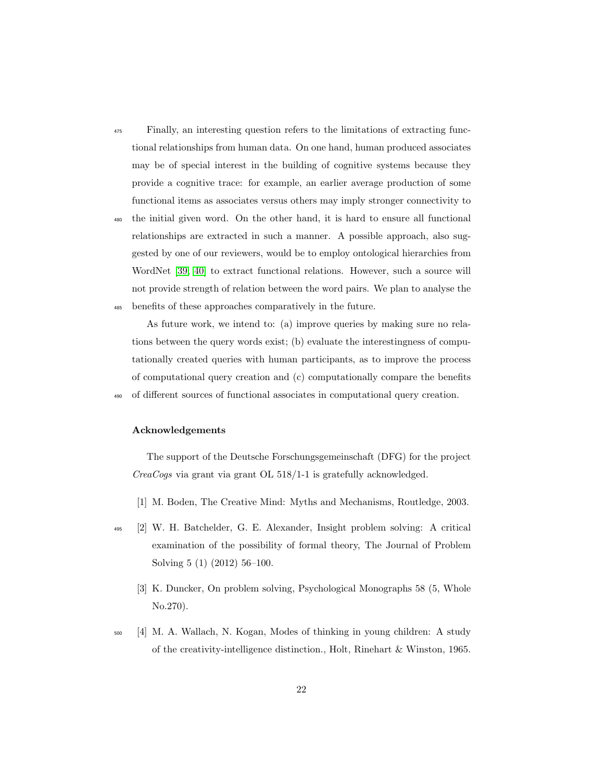- <sup>475</sup> Finally, an interesting question refers to the limitations of extracting functional relationships from human data. On one hand, human produced associates may be of special interest in the building of cognitive systems because they provide a cognitive trace: for example, an earlier average production of some functional items as associates versus others may imply stronger connectivity to
- <sup>480</sup> the initial given word. On the other hand, it is hard to ensure all functional relationships are extracted in such a manner. A possible approach, also suggested by one of our reviewers, would be to employ ontological hierarchies from WordNet [\[39,](#page-26-2) [40\]](#page-26-3) to extract functional relations. However, such a source will not provide strength of relation between the word pairs. We plan to analyse the <sup>485</sup> benefits of these approaches comparatively in the future.

As future work, we intend to: (a) improve queries by making sure no relations between the query words exist; (b) evaluate the interestingness of computationally created queries with human participants, as to improve the process of computational query creation and (c) computationally compare the benefits <sup>490</sup> of different sources of functional associates in computational query creation.

#### Acknowledgements

The support of the Deutsche Forschungsgemeinschaft (DFG) for the project CreaCogs via grant via grant OL 518/1-1 is gratefully acknowledged.

- <span id="page-21-1"></span><span id="page-21-0"></span>[1] M. Boden, The Creative Mind: Myths and Mechanisms, Routledge, 2003.
- <span id="page-21-2"></span><sup>495</sup> [2] W. H. Batchelder, G. E. Alexander, Insight problem solving: A critical examination of the possibility of formal theory, The Journal of Problem Solving 5 (1) (2012) 56–100.
	- [3] K. Duncker, On problem solving, Psychological Monographs 58 (5, Whole No.270).
- <span id="page-21-3"></span><sup>500</sup> [4] M. A. Wallach, N. Kogan, Modes of thinking in young children: A study of the creativity-intelligence distinction., Holt, Rinehart & Winston, 1965.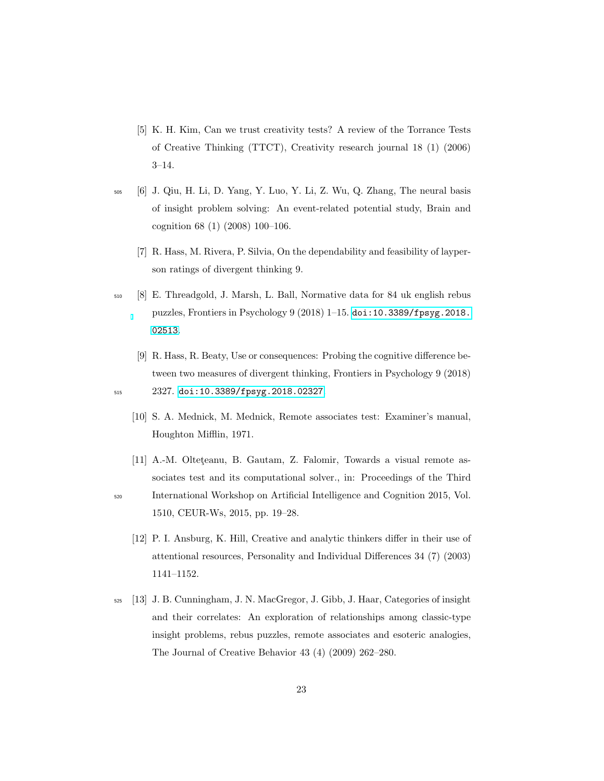- <span id="page-22-0"></span>[5] K. H. Kim, Can we trust creativity tests? A review of the Torrance Tests of Creative Thinking (TTCT), Creativity research journal 18 (1) (2006) 3–14.
- <span id="page-22-2"></span><span id="page-22-1"></span><sup>505</sup> [6] J. Qiu, H. Li, D. Yang, Y. Luo, Y. Li, Z. Wu, Q. Zhang, The neural basis of insight problem solving: An event-related potential study, Brain and cognition 68 (1) (2008) 100–106.
	- [7] R. Hass, M. Rivera, P. Silvia, On the dependability and feasibility of layperson ratings of divergent thinking 9.
- <span id="page-22-3"></span><sup>510</sup> [8] E. Threadgold, J. Marsh, L. Ball, Normative data for 84 uk english rebus puzzles, Frontiers in Psychology  $9(2018)$  1–15. [doi:10.3389/fpsyg.2018.](http://dx.doi.org/10.3389/fpsyg.2018.02513) [02513](http://dx.doi.org/10.3389/fpsyg.2018.02513).
- <span id="page-22-5"></span><span id="page-22-4"></span>[9] R. Hass, R. Beaty, Use or consequences: Probing the cognitive difference between two measures of divergent thinking, Frontiers in Psychology 9 (2018) <sup>515</sup> 2327. [doi:10.3389/fpsyg.2018.02327](http://dx.doi.org/10.3389/fpsyg.2018.02327).
	- [10] S. A. Mednick, M. Mednick, Remote associates test: Examiner's manual, Houghton Mifflin, 1971.
- <span id="page-22-6"></span>[11] A.-M. Olteteanu, B. Gautam, Z. Falomir, Towards a visual remote associates test and its computational solver., in: Proceedings of the Third <sup>520</sup> International Workshop on Artificial Intelligence and Cognition 2015, Vol.
- 

1510, CEUR-Ws, 2015, pp. 19–28.

- <span id="page-22-7"></span>[12] P. I. Ansburg, K. Hill, Creative and analytic thinkers differ in their use of attentional resources, Personality and Individual Differences 34 (7) (2003) 1141–1152.
- <span id="page-22-8"></span><sup>525</sup> [13] J. B. Cunningham, J. N. MacGregor, J. Gibb, J. Haar, Categories of insight and their correlates: An exploration of relationships among classic-type insight problems, rebus puzzles, remote associates and esoteric analogies, The Journal of Creative Behavior 43 (4) (2009) 262–280.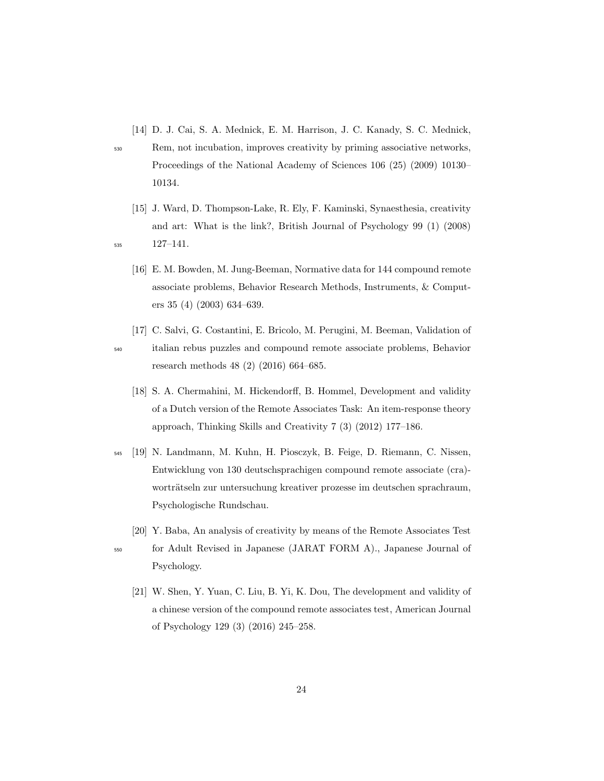<span id="page-23-0"></span>[14] D. J. Cai, S. A. Mednick, E. M. Harrison, J. C. Kanady, S. C. Mednick,

- <sup>530</sup> Rem, not incubation, improves creativity by priming associative networks, Proceedings of the National Academy of Sciences 106 (25) (2009) 10130– 10134.
- <span id="page-23-1"></span>[15] J. Ward, D. Thompson-Lake, R. Ely, F. Kaminski, Synaesthesia, creativity and art: What is the link?, British Journal of Psychology 99 (1) (2008) <sup>535</sup> 127–141.
- <span id="page-23-2"></span>
	- [16] E. M. Bowden, M. Jung-Beeman, Normative data for 144 compound remote associate problems, Behavior Research Methods, Instruments, & Computers 35 (4) (2003) 634–639.
- <span id="page-23-4"></span><span id="page-23-3"></span>[17] C. Salvi, G. Costantini, E. Bricolo, M. Perugini, M. Beeman, Validation of <sup>540</sup> italian rebus puzzles and compound remote associate problems, Behavior research methods 48 (2) (2016) 664–685.
	- [18] S. A. Chermahini, M. Hickendorff, B. Hommel, Development and validity of a Dutch version of the Remote Associates Task: An item-response theory approach, Thinking Skills and Creativity 7 (3) (2012) 177–186.
- <span id="page-23-5"></span><sup>545</sup> [19] N. Landmann, M. Kuhn, H. Piosczyk, B. Feige, D. Riemann, C. Nissen, Entwicklung von 130 deutschsprachigen compound remote associate (cra) worträtseln zur untersuchung kreativer prozesse im deutschen sprachraum, Psychologische Rundschau.
	- [20] Y. Baba, An analysis of creativity by means of the Remote Associates Test

<span id="page-23-7"></span>

- <span id="page-23-6"></span><sup>550</sup> for Adult Revised in Japanese (JARAT FORM A)., Japanese Journal of Psychology.
	- [21] W. Shen, Y. Yuan, C. Liu, B. Yi, K. Dou, The development and validity of a chinese version of the compound remote associates test, American Journal of Psychology 129 (3) (2016) 245–258.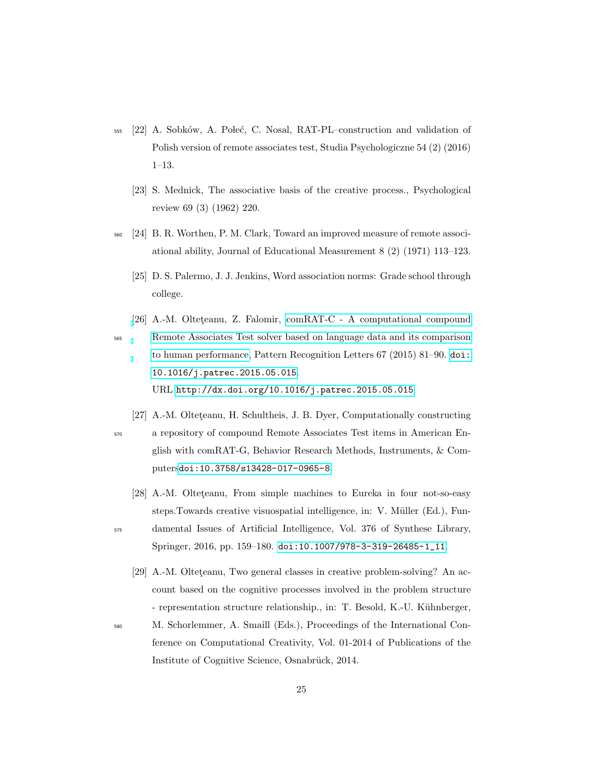- <span id="page-24-1"></span><span id="page-24-0"></span>555 [22] A. Sobków, A. Poleć, C. Nosal, RAT-PL–construction and validation of Polish version of remote associates test, Studia Psychologiczne 54 (2) (2016) 1–13.
	- [23] S. Mednick, The associative basis of the creative process., Psychological review 69 (3) (1962) 220.
- <span id="page-24-3"></span><span id="page-24-2"></span><sup>560</sup> [24] B. R. Worthen, P. M. Clark, Toward an improved measure of remote associational ability, Journal of Educational Measurement 8 (2) (1971) 113–123.
	- [25] D. S. Palermo, J. J. Jenkins, Word association norms: Grade school through college.
- <span id="page-24-4"></span>[\[](http://dx.doi.org/10.1016/j.patrec.2015.05.015)26] A.-M. Olteteanu, Z. Falomir, [comRAT-C - A computational compound](http://dx.doi.org/10.1016/j.patrec.2015.05.015) <sup>565</sup> [Remote Associates Test solver based on language data and its comparison](http://dx.doi.org/10.1016/j.patrec.2015.05.015) [to human performance,](http://dx.doi.org/10.1016/j.patrec.2015.05.015) Pattern Recognition Letters 67 (2015) 81–90. [doi:](http://dx.doi.org/10.1016/j.patrec.2015.05.015) [10.1016/j.patrec.2015.05.015](http://dx.doi.org/10.1016/j.patrec.2015.05.015). URL <http://dx.doi.org/10.1016/j.patrec.2015.05.015>
- <span id="page-24-5"></span>[27] A.-M. Olteteanu, H. Schultheis, J. B. Dyer, Computationally constructing <sup>570</sup> a repository of compound Remote Associates Test items in American English with comRAT-G, Behavior Research Methods, Instruments, & Computers[doi:10.3758/s13428-017-0965-8](http://dx.doi.org/10.3758/s13428-017-0965-8).
	- [28] A.-M. Olteteanu, From simple machines to Eureka in four not-so-easy steps. Towards creative visuospatial intelligence, in: V. Müller (Ed.), Fun-
- <span id="page-24-7"></span><span id="page-24-6"></span><sup>575</sup> damental Issues of Artificial Intelligence, Vol. 376 of Synthese Library, Springer, 2016, pp. 159–180. [doi:10.1007/978-3-319-26485-1\\_11](http://dx.doi.org/10.1007/978-3-319-26485-1_11).
	- [29] A.-M. Olteteanu, Two general classes in creative problem-solving? An account based on the cognitive processes involved in the problem structure - representation structure relationship., in: T. Besold, K.-U. Kühnberger,
- <sup>580</sup> M. Schorlemmer, A. Smaill (Eds.), Proceedings of the International Conference on Computational Creativity, Vol. 01-2014 of Publications of the Institute of Cognitive Science, Osnabrück, 2014.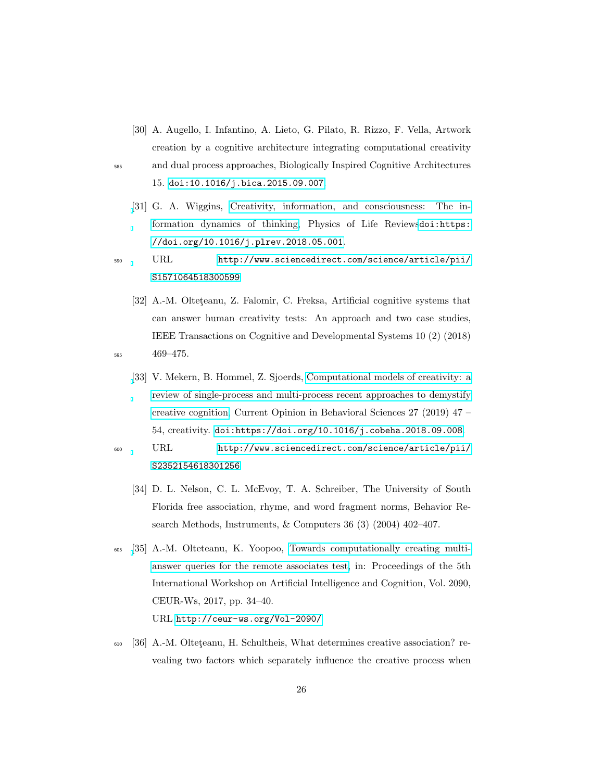<span id="page-25-0"></span>[30] A. Augello, I. Infantino, A. Lieto, G. Pilato, R. Rizzo, F. Vella, Artwork creation by a cognitive architecture integrating computational creativity <sup>585</sup> and dual process approaches, Biologically Inspired Cognitive Architectures

15. [doi:10.1016/j.bica.2015.09.007](http://dx.doi.org/10.1016/j.bica.2015.09.007).

- <span id="page-25-1"></span>[\[](http://www.sciencedirect.com/science/article/pii/S1571064518300599)31] G. A. Wiggins, [Creativity, information, and consciousness: The in](http://www.sciencedirect.com/science/article/pii/S1571064518300599)[formation dynamics of thinking,](http://www.sciencedirect.com/science/article/pii/S1571064518300599) Physics of Life Reviews[doi:https:](http://dx.doi.org/https://doi.org/10.1016/j.plrev.2018.05.001) [//doi.org/10.1016/j.plrev.2018.05.001](http://dx.doi.org/https://doi.org/10.1016/j.plrev.2018.05.001).
- <sup>590</sup> URL [http://www.sciencedirect.com/science/article/pii/](http://www.sciencedirect.com/science/article/pii/S1571064518300599) [S1571064518300599](http://www.sciencedirect.com/science/article/pii/S1571064518300599)
- <span id="page-25-3"></span><span id="page-25-2"></span>[32] A.-M. Olteteanu, Z. Falomir, C. Freksa, Artificial cognitive systems that can answer human creativity tests: An approach and two case studies, IEEE Transactions on Cognitive and Developmental Systems 10 (2) (2018) <sup>595</sup> 469–475.
	- [\[](http://www.sciencedirect.com/science/article/pii/S2352154618301256)33] V. Mekern, B. Hommel, Z. Sjoerds, [Computational models of creativity: a](http://www.sciencedirect.com/science/article/pii/S2352154618301256) [review of single-process and multi-process recent approaches to demystify](http://www.sciencedirect.com/science/article/pii/S2352154618301256) [creative cognition,](http://www.sciencedirect.com/science/article/pii/S2352154618301256) Current Opinion in Behavioral Sciences 27 (2019) 47 – 54, creativity. [doi:https://doi.org/10.1016/j.cobeha.2018.09.008](http://dx.doi.org/https://doi.org/10.1016/j.cobeha.2018.09.008).
- <span id="page-25-4"></span><sup>600</sup> URL [http://www.sciencedirect.com/science/article/pii/](http://www.sciencedirect.com/science/article/pii/S2352154618301256) [S2352154618301256](http://www.sciencedirect.com/science/article/pii/S2352154618301256)
	- [34] D. L. Nelson, C. L. McEvoy, T. A. Schreiber, The University of South Florida free association, rhyme, and word fragment norms, Behavior Research Methods, Instruments, & Computers 36 (3) (2004) 402–407.
- <span id="page-25-5"></span><sup>605</sup> [\[](http://ceur-ws.org/Vol-2090/)35] A.-M. Olteteanu, K. Yoopoo, [Towards computationally creating multi](http://ceur-ws.org/Vol-2090/)[answer queries for the remote associates test,](http://ceur-ws.org/Vol-2090/) in: Proceedings of the 5th International Workshop on Artificial Intelligence and Cognition, Vol. 2090, CEUR-Ws, 2017, pp. 34–40. URL <http://ceur-ws.org/Vol-2090/>
- <span id="page-25-6"></span> $_{610}$  [36] A.-M. Olteteanu, H. Schultheis, What determines creative association? revealing two factors which separately influence the creative process when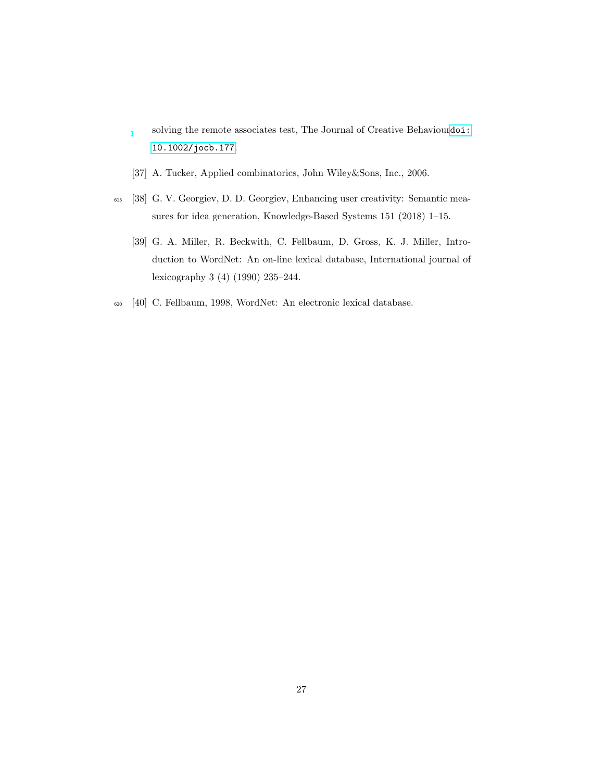solving the remote associates test, The Journal of Creative Behaviour[doi:](http://dx.doi.org/10.1002/jocb.177) [10.1002/jocb.177](http://dx.doi.org/10.1002/jocb.177).

- <span id="page-26-1"></span><span id="page-26-0"></span>[37] A. Tucker, Applied combinatorics, John Wiley&Sons, Inc., 2006.
- <span id="page-26-2"></span><sup>615</sup> [38] G. V. Georgiev, D. D. Georgiev, Enhancing user creativity: Semantic measures for idea generation, Knowledge-Based Systems 151 (2018) 1–15.
	- [39] G. A. Miller, R. Beckwith, C. Fellbaum, D. Gross, K. J. Miller, Introduction to WordNet: An on-line lexical database, International journal of lexicography 3 (4) (1990) 235–244.
- <span id="page-26-3"></span><sup>620</sup> [40] C. Fellbaum, 1998, WordNet: An electronic lexical database.